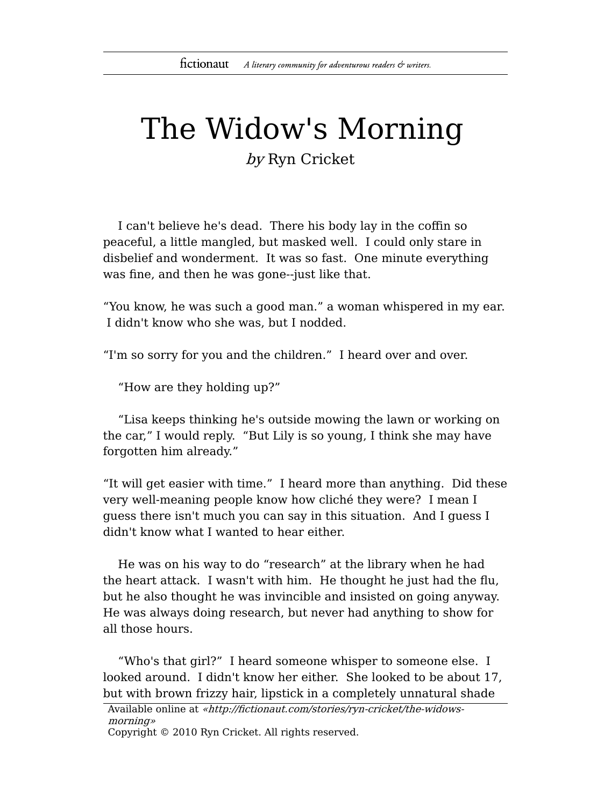## The Widow's Morning

by Ryn Cricket

I can't believe he's dead. There his body lay in the coffin so peaceful, a little mangled, but masked well. I could only stare in disbelief and wonderment. It was so fast. One minute everything was fine, and then he was gone--just like that.

"You know, he was such a good man." a woman whispered in my ear. I didn't know who she was, but I nodded.

"I'm so sorry for you and the children." I heard over and over.

"How are they holding up?"

"Lisa keeps thinking he's outside mowing the lawn or working on the car," I would reply. "But Lily is so young, I think she may have forgotten him already."

"It will get easier with time." I heard more than anything. Did these very well-meaning people know how cliché they were? I mean I guess there isn't much you can say in this situation. And I guess I didn't know what I wanted to hear either.

He was on his way to do "research" at the library when he had the heart attack. I wasn't with him. He thought he just had the flu, but he also thought he was invincible and insisted on going anyway. He was always doing research, but never had anything to show for all those hours.

"Who's that girl?" I heard someone whisper to someone else. I looked around. I didn't know her either. She looked to be about 17, but with brown frizzy hair, lipstick in a completely unnatural shade

Available online at «http://fictionaut.com/stories/ryn-cricket/the-widowsmorning» Copyright © 2010 Ryn Cricket. All rights reserved.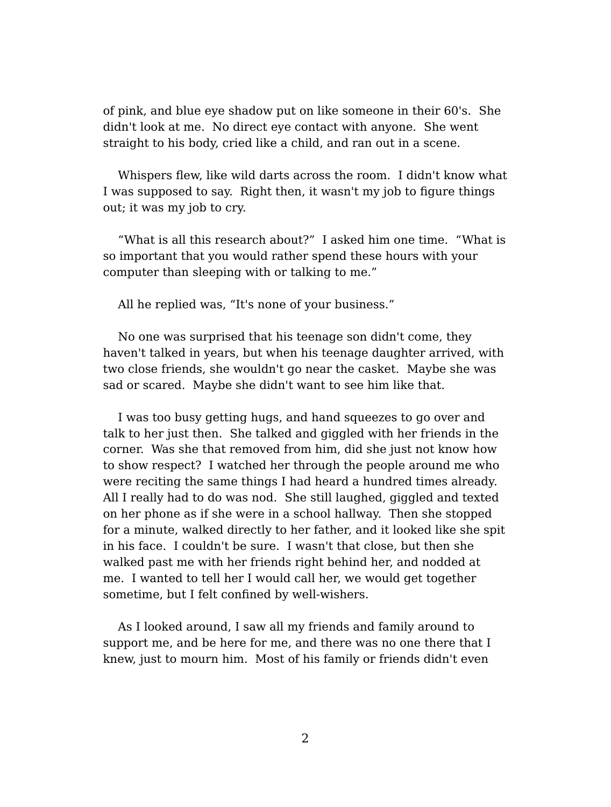of pink, and blue eye shadow put on like someone in their 60's. She didn't look at me. No direct eye contact with anyone. She went straight to his body, cried like a child, and ran out in a scene.

Whispers flew, like wild darts across the room. I didn't know what I was supposed to say. Right then, it wasn't my job to figure things out; it was my job to cry.

"What is all this research about?" I asked him one time. "What is so important that you would rather spend these hours with your computer than sleeping with or talking to me."

All he replied was, "It's none of your business."

No one was surprised that his teenage son didn't come, they haven't talked in years, but when his teenage daughter arrived, with two close friends, she wouldn't go near the casket. Maybe she was sad or scared. Maybe she didn't want to see him like that.

I was too busy getting hugs, and hand squeezes to go over and talk to her just then. She talked and giggled with her friends in the corner. Was she that removed from him, did she just not know how to show respect? I watched her through the people around me who were reciting the same things I had heard a hundred times already. All I really had to do was nod. She still laughed, giggled and texted on her phone as if she were in a school hallway. Then she stopped for a minute, walked directly to her father, and it looked like she spit in his face. I couldn't be sure. I wasn't that close, but then she walked past me with her friends right behind her, and nodded at me. I wanted to tell her I would call her, we would get together sometime, but I felt confined by well-wishers.

As I looked around, I saw all my friends and family around to support me, and be here for me, and there was no one there that I knew, just to mourn him. Most of his family or friends didn't even